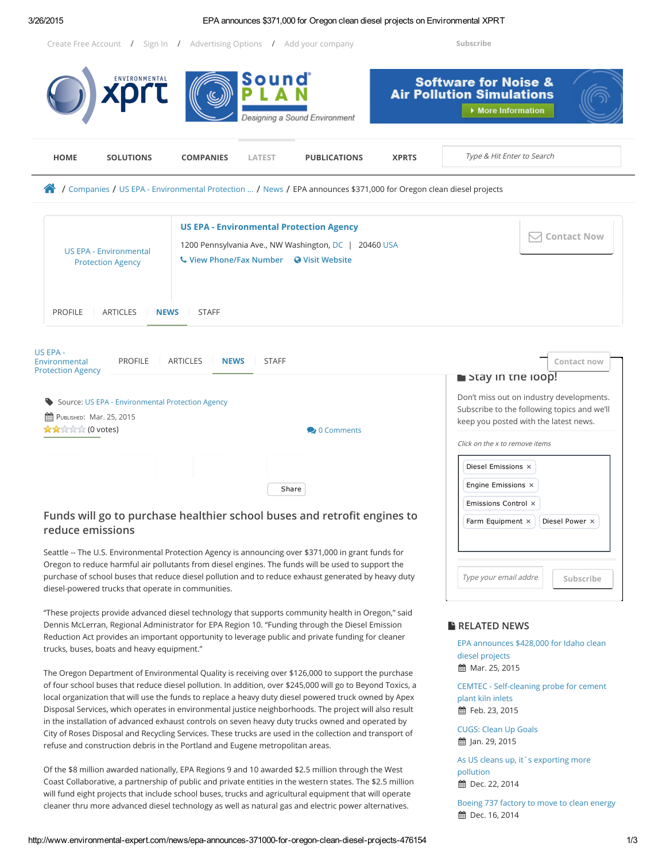#### 3/26/2015 EPA announces \$371,000 for Oregon clean diesel projects on Environmental XPRT

Create Free [Account](http://www.environmental-expert.com/user/register) / [Sign](javascript:logear();) In / [Advertising](http://xprt.com/PYB/Packages_Dollar.asp) Options / Add your [company](http://xprt.com/PYB/CreateCompanyProfile.asp?idSite=1) [Subscribe](http://www.environmental-expert.com/user/subscriptions)



**曲 Feb. 23, 2015** 

[CUGS:](http://www.environmental-expert.com/news/cugs-clean-up-goals-465959) Clean Up Goals **前 Jan. 29, 2015** 

As US cleans up, it's [exporting](http://www.environmental-expert.com/news/as-us-cleans-up-it-s-exporting-more-pollution-459711) more pollution td Dec. 22, 2014

Boeing 737 [factory](http://www.environmental-expert.com/news/boeing-737-factory-to-move-to-clean-energy-458788) to move to clean energy th Dec. 16, 2014

Disposal Services, which operates in environmental justice neighborhoods. The project will also result in the installation of advanced exhaust controls on seven heavy duty trucks owned and operated by City of Roses Disposal and Recycling Services. These trucks are used in the collection and transport of refuse and construction debris in the Portland and Eugene metropolitan areas.

Of the \$8 million awarded nationally, EPA Regions 9 and 10 awarded \$2.5 million through the West Coast Collaborative, a partnership of public and private entities in the western states. The \$2.5 million will fund eight projects that include school buses, trucks and agricultural equipment that will operate cleaner thru more advanced diesel technology as well as natural gas and electric power alternatives.